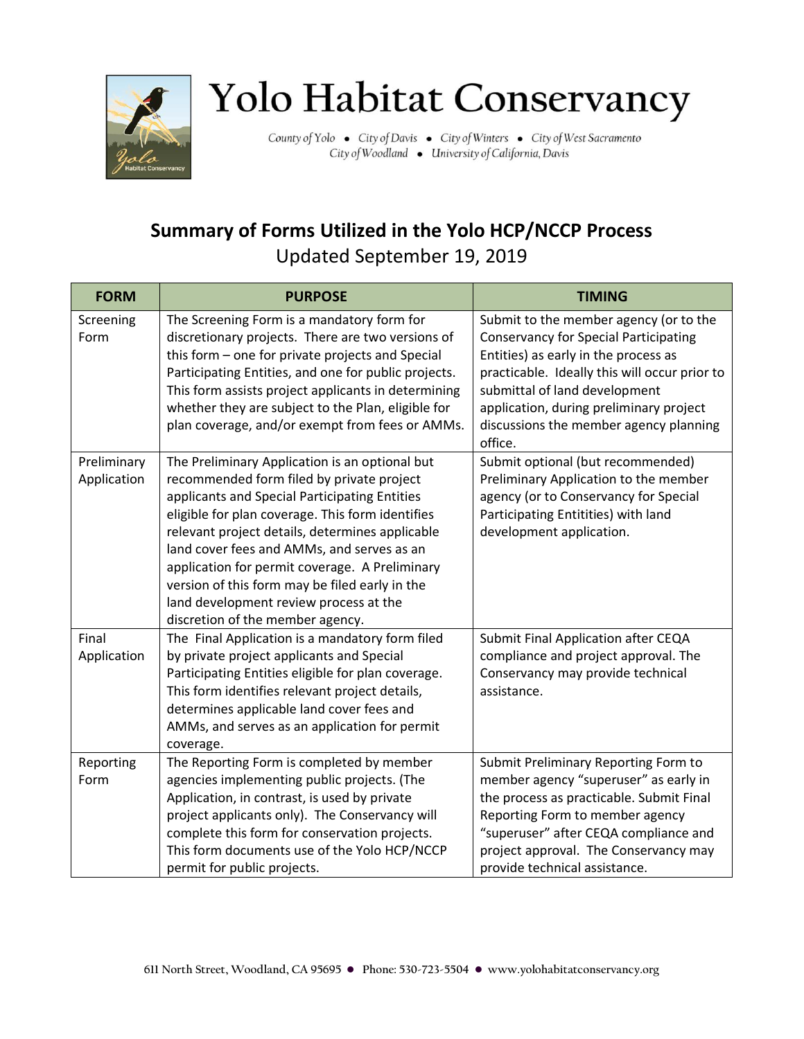

## Yolo Habitat Conservancy

County of Yolo . City of Davis . City of Winters . City of West Sacramento City of Woodland . University of California, Davis

## **Summary of Forms Utilized in the Yolo HCP/NCCP Process**  Updated September 19, 2019

| <b>FORM</b>                | <b>PURPOSE</b>                                                                                                                                                                                                                                                                                                                                                                                                                                                                      | <b>TIMING</b>                                                                                                                                                                                                                                                                                         |
|----------------------------|-------------------------------------------------------------------------------------------------------------------------------------------------------------------------------------------------------------------------------------------------------------------------------------------------------------------------------------------------------------------------------------------------------------------------------------------------------------------------------------|-------------------------------------------------------------------------------------------------------------------------------------------------------------------------------------------------------------------------------------------------------------------------------------------------------|
| Screening<br>Form          | The Screening Form is a mandatory form for<br>discretionary projects. There are two versions of<br>this form - one for private projects and Special<br>Participating Entities, and one for public projects.<br>This form assists project applicants in determining<br>whether they are subject to the Plan, eligible for<br>plan coverage, and/or exempt from fees or AMMs.                                                                                                         | Submit to the member agency (or to the<br><b>Conservancy for Special Participating</b><br>Entities) as early in the process as<br>practicable. Ideally this will occur prior to<br>submittal of land development<br>application, during preliminary project<br>discussions the member agency planning |
| Preliminary<br>Application | The Preliminary Application is an optional but<br>recommended form filed by private project<br>applicants and Special Participating Entities<br>eligible for plan coverage. This form identifies<br>relevant project details, determines applicable<br>land cover fees and AMMs, and serves as an<br>application for permit coverage. A Preliminary<br>version of this form may be filed early in the<br>land development review process at the<br>discretion of the member agency. | office.<br>Submit optional (but recommended)<br>Preliminary Application to the member<br>agency (or to Conservancy for Special<br>Participating Entitities) with land<br>development application.                                                                                                     |
| Final<br>Application       | The Final Application is a mandatory form filed<br>by private project applicants and Special<br>Participating Entities eligible for plan coverage.<br>This form identifies relevant project details,<br>determines applicable land cover fees and<br>AMMs, and serves as an application for permit<br>coverage.                                                                                                                                                                     | Submit Final Application after CEQA<br>compliance and project approval. The<br>Conservancy may provide technical<br>assistance.                                                                                                                                                                       |
| Reporting<br>Form          | The Reporting Form is completed by member<br>agencies implementing public projects. (The<br>Application, in contrast, is used by private<br>project applicants only). The Conservancy will<br>complete this form for conservation projects.<br>This form documents use of the Yolo HCP/NCCP<br>permit for public projects.                                                                                                                                                          | Submit Preliminary Reporting Form to<br>member agency "superuser" as early in<br>the process as practicable. Submit Final<br>Reporting Form to member agency<br>"superuser" after CEQA compliance and<br>project approval. The Conservancy may<br>provide technical assistance.                       |